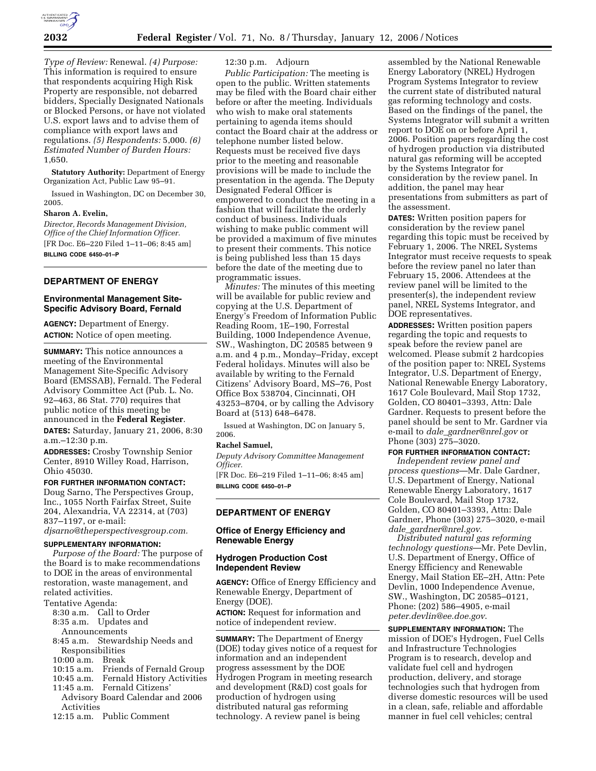

*Type of Review:* Renewal. *(4) Purpose:*  This information is required to ensure that respondents acquiring High Risk Property are responsible, not debarred bidders, Specially Designated Nationals or Blocked Persons, or have not violated U.S. export laws and to advise them of compliance with export laws and regulations. *(5) Respondents:* 5,000. *(6) Estimated Number of Burden Hours:*  1,650.

**Statutory Authority:** Department of Energy Organization Act, Public Law 95–91.

Issued in Washington, DC on December 30, 2005.

### **Sharon A. Evelin,**

*Director, Records Management Division, Office of the Chief Information Officer.*  [FR Doc. E6–220 Filed 1–11–06; 8:45 am] **BILLING CODE 6450–01–P** 

### **DEPARTMENT OF ENERGY**

#### **Environmental Management Site-Specific Advisory Board, Fernald**

**AGENCY:** Department of Energy. **ACTION:** Notice of open meeting.

**SUMMARY:** This notice announces a meeting of the Environmental Management Site-Specific Advisory Board (EMSSAB), Fernald. The Federal Advisory Committee Act (Pub. L. No. 92–463, 86 Stat. 770) requires that public notice of this meeting be announced in the **Federal Register**.

**DATES:** Saturday, January 21, 2006, 8:30 a.m.–12:30 p.m.

**ADDRESSES:** Crosby Township Senior Center, 8910 Willey Road, Harrison, Ohio 45030.

#### **FOR FURTHER INFORMATION CONTACT:**

Doug Sarno, The Perspectives Group, Inc., 1055 North Fairfax Street, Suite 204, Alexandria, VA 22314, at (703) 837–1197, or e-mail:

*djsarno@theperspectivesgroup.com.* 

### **SUPPLEMENTARY INFORMATION:**

*Purpose of the Board:* The purpose of the Board is to make recommendations to DOE in the areas of environmental restoration, waste management, and related activities.

- Tentative Agenda:
	- 8:30 a.m. Call to Order
	- 8:35 a.m. Updates and Announcements
	- 8:45 a.m. Stewardship Needs and Responsibilities
	- 10:00 a.m. Break
	-
	- 10:15 a.m. Friends of Fernald Group<br>10:45 a.m. Fernald History Activities Fernald History Activities
	- 11:45 a.m. Fernald Citizens'
	- Advisory Board Calendar and 2006 Activities
	- 12:15 a.m. Public Comment

# 12:30 p.m. Adjourn

*Public Participation:* The meeting is open to the public. Written statements may be filed with the Board chair either before or after the meeting. Individuals who wish to make oral statements pertaining to agenda items should contact the Board chair at the address or telephone number listed below. Requests must be received five days prior to the meeting and reasonable provisions will be made to include the presentation in the agenda. The Deputy Designated Federal Officer is empowered to conduct the meeting in a fashion that will facilitate the orderly conduct of business. Individuals wishing to make public comment will be provided a maximum of five minutes to present their comments. This notice is being published less than 15 days before the date of the meeting due to programmatic issues.

*Minutes:* The minutes of this meeting will be available for public review and copying at the U.S. Department of Energy's Freedom of Information Public Reading Room, 1E–190, Forrestal Building, 1000 Independence Avenue, SW., Washington, DC 20585 between 9 a.m. and 4 p.m., Monday–Friday, except Federal holidays. Minutes will also be available by writing to the Fernald Citizens' Advisory Board, MS–76, Post Office Box 538704, Cincinnati, OH 43253–8704, or by calling the Advisory Board at (513) 648–6478.

Issued at Washington, DC on January 5, 2006.

### **Rachel Samuel,**

*Deputy Advisory Committee Management Officer.* 

[FR Doc. E6–219 Filed 1–11–06; 8:45 am] **BILLING CODE 6450–01–P** 

### **DEPARTMENT OF ENERGY**

### **Office of Energy Efficiency and Renewable Energy**

### **Hydrogen Production Cost Independent Review**

**AGENCY:** Office of Energy Efficiency and Renewable Energy, Department of Energy (DOE).

**ACTION:** Request for information and notice of independent review.

**SUMMARY:** The Department of Energy (DOE) today gives notice of a request for information and an independent progress assessment by the DOE Hydrogen Program in meeting research and development (R&D) cost goals for production of hydrogen using distributed natural gas reforming technology. A review panel is being

assembled by the National Renewable Energy Laboratory (NREL) Hydrogen Program Systems Integrator to review the current state of distributed natural gas reforming technology and costs. Based on the findings of the panel, the Systems Integrator will submit a written report to DOE on or before April 1, 2006. Position papers regarding the cost of hydrogen production via distributed natural gas reforming will be accepted by the Systems Integrator for consideration by the review panel. In addition, the panel may hear presentations from submitters as part of the assessment.

**DATES:** Written position papers for consideration by the review panel regarding this topic must be received by February 1, 2006. The NREL Systems Integrator must receive requests to speak before the review panel no later than February 15, 2006. Attendees at the review panel will be limited to the presenter(s), the independent review panel, NREL Systems Integrator, and DOE representatives.

**ADDRESSES:** Written position papers regarding the topic and requests to speak before the review panel are welcomed. Please submit 2 hardcopies of the position paper to: NREL Systems Integrator, U.S. Department of Energy, National Renewable Energy Laboratory, 1617 Cole Boulevard, Mail Stop 1732, Golden, CO 80401–3393, Attn: Dale Gardner. Requests to present before the panel should be sent to Mr. Gardner via e-mail to *dale*\_*gardner@nrel.gov* or Phone (303) 275–3020.

# **FOR FURTHER INFORMATION CONTACT:**

*Independent review panel and process questions*—Mr. Dale Gardner, U.S. Department of Energy, National Renewable Energy Laboratory, 1617 Cole Boulevard, Mail Stop 1732, Golden, CO 80401–3393, Attn: Dale Gardner, Phone (303) 275–3020, e-mail *dale*\_*gardner@nrel.gov*.

*Distributed natural gas reforming technology questions*—Mr. Pete Devlin, U.S. Department of Energy, Office of Energy Efficiency and Renewable Energy, Mail Station EE–2H, Attn: Pete Devlin, 1000 Independence Avenue, SW., Washington, DC 20585–0121, Phone: (202) 586–4905, e-mail *peter.devlin@ee.doe.gov*.

**SUPPLEMENTARY INFORMATION:** The mission of DOE's Hydrogen, Fuel Cells and Infrastructure Technologies Program is to research, develop and validate fuel cell and hydrogen production, delivery, and storage technologies such that hydrogen from diverse domestic resources will be used in a clean, safe, reliable and affordable manner in fuel cell vehicles; central